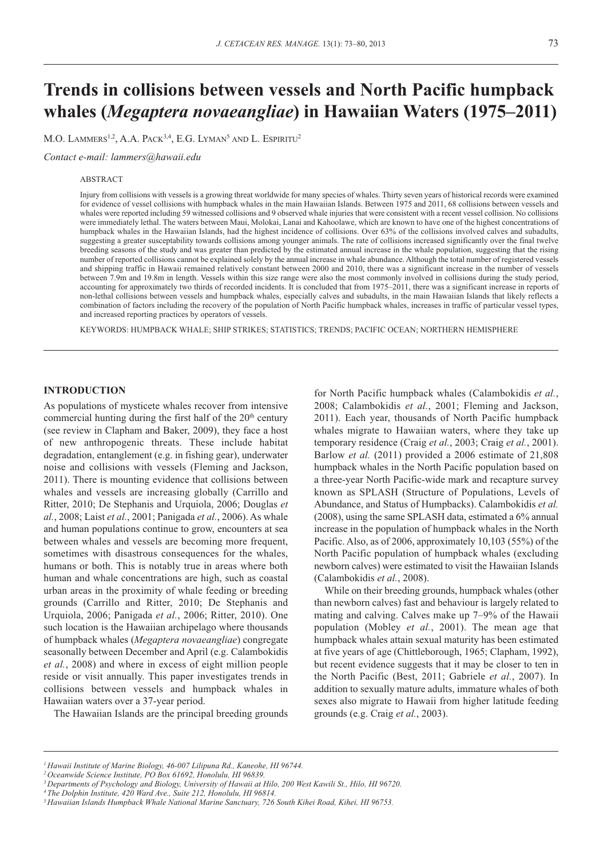# **Trends in collisions between vessels and North Pacific humpback whales (***Megaptera novaeangliae***) in Hawaiian Waters (1975–2011)**

M.O. LAMMERS<sup>1,2</sup>, A.A. PACK<sup>3,4</sup>, E.G. LYMAN<sup>5</sup> AND L. ESPIRITU<sup>2</sup>

*Contact e-mail: [lammers@hawaii.edu](mailto:lammers@hawaii.edu)* 

#### ABSTRACT

Injury from collisions with vessels is a growing threat worldwide for many species of whales. Thirty seven years of historical records were examined for evidence of vessel collisions with humpback whales in the main Hawaiian Islands. Between 1975 and 2011, 68 collisions between vessels and whales were reported including 59 witnessed collisions and 9 observed whale injuries that were consistent with a recent vessel collision. No collisions were immediately lethal. The waters between Maui, Molokai, Lanai and Kahoolawe, which are known to have one of the highest concentrations of humpback whales in the Hawaiian Islands, had the highest incidence of collisions. Over 63% of the collisions involved calves and subadults, suggesting a greater susceptability towards collisions among younger animals. The rate of collisions increased significantly over the final twelve breeding seasons of the study and was greater than predicted by the estimated annual increase in the whale population, suggesting that the rising number of reported collisions cannot be explained solely by the annual increase in whale abundance. Although the total number of registered vessels and shipping traffic in Hawaii remained relatively constant between 2000 and 2010, there was a significant increase in the number of vessels between 7.9m and 19.8m in length. Vessels within this size range were also the most commonly involved in collisions during the study period, accounting for approximately two thirds of recorded incidents. It is concluded that from 1975–2011, there was a significant increase in reports of non-lethal collisions between vessels and humpback whales, especially calves and subadults, in the main Hawaiian Islands that likely reflects a combination of factors including the recovery of the population of North Pacific humpback whales, increases in traffic of particular vessel types, and increased reporting practices by operators of vessels.

KEYWORDS: HUMPBACK WHALE; SHIP STRIKES; STATISTICS; TRENDS; PACIFIC OCEAN; NORTHERN HEMISPHERE

## **INTRODUCTION**

As populations of mysticete whales recover from intensive commercial hunting during the first half of the 20<sup>th</sup> century (see review in Clapham and Baker, 2009), they face a host of new anthropogenic threats. These include habitat degradation, entanglement (e.g. in fishing gear), underwater noise and collisions with vessels (Fleming and Jackson, 2011). There is mounting evidence that collisions between whales and vessels are increasing globally (Carrillo and Ritter, 2010; De Stephanis and Urquiola, 2006; Douglas *et al.*, 2008; Laist *et al.*, 2001; Panigada *et al.*, 2006). As whale and human populations continue to grow, encounters at sea between whales and vessels are becoming more frequent, sometimes with disastrous consequences for the whales, humans or both. This is notably true in areas where both human and whale concentrations are high, such as coastal urban areas in the proximity of whale feeding or breeding grounds (Carrillo and Ritter, 2010; De Stephanis and Urquiola, 2006; Panigada *et al.*, 2006; Ritter, 2010). One such location is the Hawaiian archipelago where thousands of humpback whales (*Megaptera novaeangliae*) congregate seasonally between December and April (e.g. Calambokidis *et al.*, 2008) and where in excess of eight million people reside or visit annually. This paper investigates trends in collisions between vessels and humpback whales in Hawaiian waters over a 37-year period.

The Hawaiian Islands are the principal breeding grounds

for North Pacific humpback whales (Calambokidis *et al.*, 2008; Calambokidis *et al.*, 2001; Fleming and Jackson, 2011). Each year, thousands of North Pacific humpback whales migrate to Hawaiian waters, where they take up temporary residence (Craig *et al.*, 2003; Craig *et al.*, 2001). Barlow *et al.* (2011) provided a 2006 estimate of 21,808 humpback whales in the North Pacific population based on a three-year North Pacific-wide mark and recapture survey known as SPLASH (Structure of Populations, Levels of Abundance, and Status of Humpbacks). Calambokidis *et al.*  (2008), using the same SPLASH data, estimated a 6% annual increase in the population of humpback whales in the North Pacific. Also, as of 2006, approximately 10,103 (55%) of the North Pacific population of humpback whales (excluding newborn calves) were estimated to visit the Hawaiian Islands (Calambokidis *et al.*, 2008).

While on their breeding grounds, humpback whales (other than newborn calves) fast and behaviour is largely related to mating and calving. Calves make up 7–9% of the Hawaii population (Mobley *et al.*, 2001). The mean age that humpback whales attain sexual maturity has been estimated at five years of age (Chittleborough, 1965; Clapham, 1992), but recent evidence suggests that it may be closer to ten in the North Pacific (Best, 2011; Gabriele *et al.*, 2007). In addition to sexually mature adults, immature whales of both sexes also migrate to Hawaii from higher latitude feeding grounds (e.g. Craig *et al.*, 2003).

*<sup>1</sup> Hawaii Institute of Marine Biology, 46-007 Lilipuna Rd., Kaneohe, HI 96744.* 

*<sup>2</sup> Oceanwide Science Institute, PO Box 61692, Honolulu, HI 96839.* 

*<sup>3</sup> Departments of Psychology and Biology, University of Hawaii at Hilo, 200 West Kawili St., Hilo, HI 96720.* 

*<sup>4</sup> The Dolphin Institute, 420 Ward Ave., Suite 212, Honolulu, HI 96814.* 

*<sup>5</sup> Hawaiian Islands Humpback Whale National Marine Sanctuary, 726 South Kihei Road, Kihei, HI 96753.*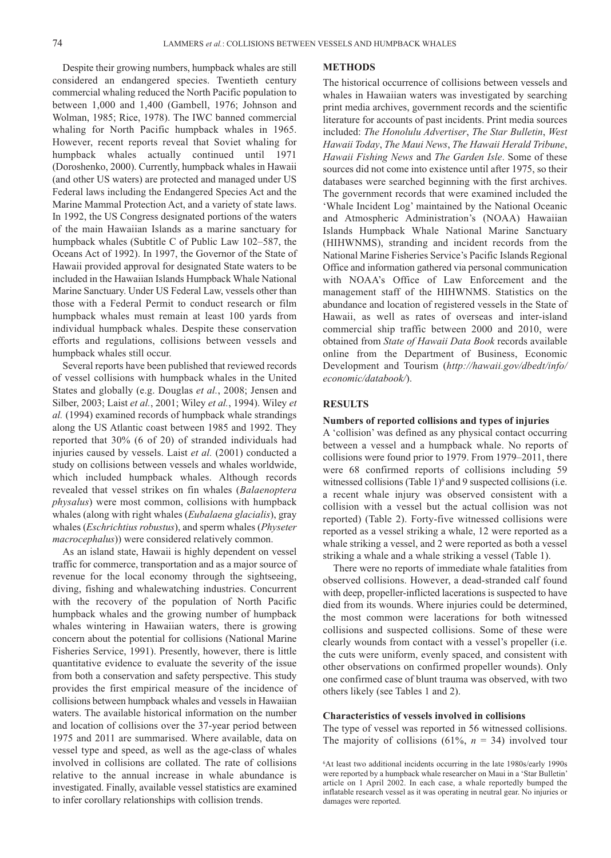Despite their growing numbers, humpback whales are still considered an endangered species. Twentieth century commercial whaling reduced the North Pacific population to between 1,000 and 1,400 (Gambell, 1976; Johnson and Wolman, 1985; Rice, 1978). The IWC banned commercial whaling for North Pacific humpback whales in 1965. However, recent reports reveal that Soviet whaling for humpback whales actually continued until 1971 (Doroshenko, 2000). Currently, humpback whales in Hawaii (and other US waters) are protected and managed under US Federal laws including the Endangered Species Act and the Marine Mammal Protection Act, and a variety of state laws. In 1992, the US Congress designated portions of the waters of the main Hawaiian Islands as a marine sanctuary for humpback whales (Subtitle C of Public Law 102–587, the Oceans Act of 1992). In 1997, the Governor of the State of Hawaii provided approval for designated State waters to be included in the Hawaiian Islands Humpback Whale National Marine Sanctuary. Under US Federal Law, vessels other than those with a Federal Permit to conduct research or film humpback whales must remain at least 100 yards from individual humpback whales. Despite these conservation efforts and regulations, collisions between vessels and humpback whales still occur.

Several reports have been published that reviewed records of vessel collisions with humpback whales in the United States and globally (e.g. Douglas *et al.*, 2008; Jensen and Silber, 2003; Laist *et al.*, 2001; Wiley *et al.*, 1994). Wiley *et al.* (1994) examined records of humpback whale strandings along the US Atlantic coast between 1985 and 1992. They reported that 30% (6 of 20) of stranded individuals had injuries caused by vessels. Laist *et al.* (2001) conducted a study on collisions between vessels and whales worldwide, which included humpback whales. Although records revealed that vessel strikes on fin whales (*Balaenoptera physalus*) were most common, collisions with humpback whales (along with right whales (*Eubalaena glacialis*), gray whales (*Eschrichtius robustus*), and sperm whales (*Physeter macrocephalus*)) were considered relatively common.

As an island state, Hawaii is highly dependent on vessel traffic for commerce, transportation and as a major source of revenue for the local economy through the sightseeing, diving, fishing and whalewatching industries. Concurrent with the recovery of the population of North Pacific humpback whales and the growing number of humpback whales wintering in Hawaiian waters, there is growing concern about the potential for collisions (National Marine Fisheries Service, 1991). Presently, however, there is little quantitative evidence to evaluate the severity of the issue from both a conservation and safety perspective. This study provides the first empirical measure of the incidence of collisions between humpback whales and vessels in Hawaiian waters. The available historical information on the number and location of collisions over the 37-year period between 1975 and 2011 are summarised. Where available, data on vessel type and speed, as well as the age-class of whales involved in collisions are collated. The rate of collisions relative to the annual increase in whale abundance is investigated. Finally, available vessel statistics are examined to infer corollary relationships with collision trends.

#### **METHODS**

The historical occurrence of collisions between vessels and whales in Hawaiian waters was investigated by searching print media archives, government records and the scientific literature for accounts of past incidents. Print media sources included: *The Honolulu Advertiser*, *The Star Bulletin*, *West Hawaii Today*, *The Maui News*, *The Hawaii Herald Tribune*, *Hawaii Fishing News* and *The Garden Isle*. Some of these sources did not come into existence until after 1975, so their databases were searched beginning with the first archives. The government records that were examined included the 'Whale Incident Log' maintained by the National Oceanic and Atmospheric Administration's (NOAA) Hawaiian Islands Humpback Whale National Marine Sanctuary (HIHWNMS), stranding and incident records from the National Marine Fisheries Service's Pacific Islands Regional Office and information gathered via personal communication with NOAA's Office of Law Enforcement and the management staff of the HIHWNMS. Statistics on the abundance and location of registered vessels in the State of Hawaii, as well as rates of overseas and inter-island commercial ship traffic between 2000 and 2010, were obtained from *State of Hawaii Data Book* records available online from the Department of Business, Economic Development and Tourism (*[http://hawaii.gov/dbedt/info/](http://hawaii.gov/dbedt/info) economic/databook/*).

#### **RESULTS**

#### **Numbers of reported collisions and types of injuries**

A 'collision' was defined as any physical contact occurring between a vessel and a humpback whale. No reports of collisions were found prior to 1979. From 1979–2011, there were 68 confirmed reports of collisions including 59 witnessed collisions (Table  $1)^6$  and 9 suspected collisions (i.e. a recent whale injury was observed consistent with a collision with a vessel but the actual collision was not reported) (Table 2). Forty-five witnessed collisions were reported as a vessel striking a whale, 12 were reported as a whale striking a vessel, and 2 were reported as both a vessel striking a whale and a whale striking a vessel (Table 1).

There were no reports of immediate whale fatalities from observed collisions. However, a dead-stranded calf found with deep, propeller-inflicted lacerations is suspected to have died from its wounds. Where injuries could be determined, the most common were lacerations for both witnessed collisions and suspected collisions. Some of these were clearly wounds from contact with a vessel's propeller (i.e. the cuts were uniform, evenly spaced, and consistent with other observations on confirmed propeller wounds). Only one confirmed case of blunt trauma was observed, with two others likely (see Tables 1 and 2).

#### **Characteristics of vessels involved in collisions**

The type of vessel was reported in 56 witnessed collisions. The majority of collisions  $(61\%, n = 34)$  involved tour

<sup>6</sup> At least two additional incidents occurring in the late 1980s/early 1990s were reported by a humpback whale researcher on Maui in a 'Star Bulletin' article on 1 April 2002. In each case, a whale reportedly bumped the inflatable research vessel as it was operating in neutral gear. No injuries or damages were reported.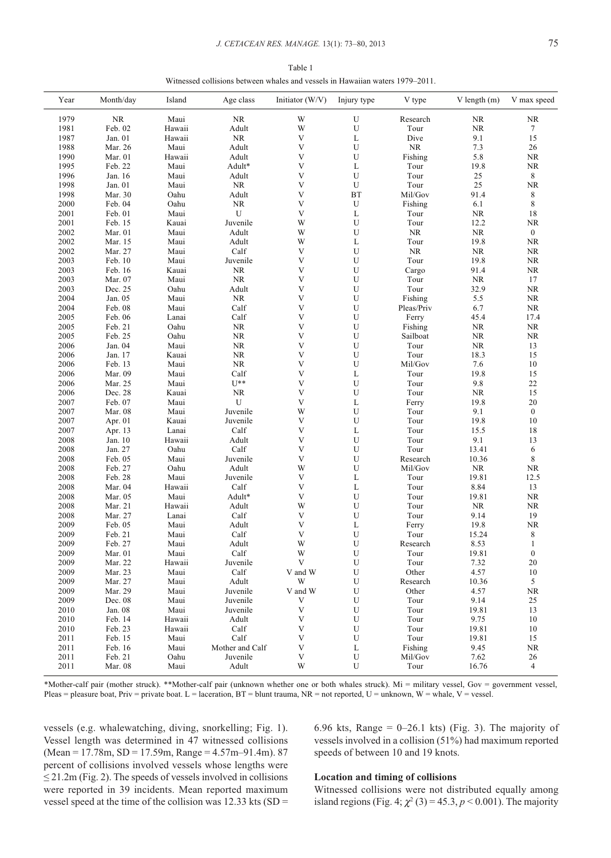| Table 1                                                                       |  |
|-------------------------------------------------------------------------------|--|
| Witnessed collisions between whales and vessels in Hawaiian waters 1979–2011. |  |

| Year | Month/day | Island | Age class       | Initiator (W/V)           | Injury type               | V type     | $V$ length $(m)$ | V max speed      |
|------|-----------|--------|-----------------|---------------------------|---------------------------|------------|------------------|------------------|
| 1979 | NR        | Maui   | NR              | W                         |                           | Research   | NR               | $\rm NR$         |
| 1981 | Feb. 02   | Hawaii | Adult           | W                         | U                         | Tour       | $\rm NR$         | 7                |
| 1987 | Jan. 01   | Hawaii | NR              | V                         | L                         | Dive       | 9.1              | $15\,$           |
| 1988 | Mar. 26   | Maui   | Adult           | V                         | U                         | $\rm NR$   | 7.3              | $26\,$           |
| 1990 | Mar. 01   | Hawaii | Adult           | V                         | $\ensuremath{\mathrm{U}}$ | Fishing    | 5.8              | $\rm NR$         |
| 1995 | Feb. 22   | Maui   | Adult*          | V                         | L                         | Tour       | 19.8             | $\rm NR$         |
| 1996 | Jan. 16   | Maui   | Adult           | V                         | ${\bf U}$                 | Tour       | 25               | 8                |
| 1998 | Jan. 01   | Maui   | NR              | V                         | ${\bf U}$                 | Tour       | $25\,$           | $\rm NR$         |
| 1998 | Mar. 30   | Oahu   | Adult           | V                         | BT                        | Mil/Gov    | 91.4             | 8                |
| 2000 | Feb. 04   | Oahu   | NR              | V                         | U                         | Fishing    | 6.1              | $\,$ 8 $\,$      |
| 2001 | Feb. 01   | Maui   | U               | V                         | L                         | Tour       | <b>NR</b>        | $18\,$           |
| 2001 | Feb. 15   | Kauai  | Juvenile        | W                         | ${\bf U}$                 | Tour       | 12.2             | $\rm NR$         |
| 2002 | Mar. 01   | Maui   | Adult           | W                         | ${\bf U}$                 | <b>NR</b>  | $\rm NR$         | $\boldsymbol{0}$ |
| 2002 | Mar. 15   | Maui   | Adult           | W                         | $\mathbf L$               | Tour       | 19.8             | $\rm NR$         |
| 2002 | Mar. 27   | Maui   | Calf            | $\mathbf{V}$              | ${\bf U}$                 | $\rm NR$   | $\rm NR$         | $\rm NR$         |
| 2003 | Feb. 10   | Maui   | Juvenile        | V                         | $\mathbf U$               | Tour       | 19.8             | $\rm NR$         |
| 2003 | Feb. 16   | Kauai  | $\rm NR$        | V                         | $\mathbf U$               | Cargo      | 91.4             | $\rm NR$         |
| 2003 | Mar. 07   | Maui   | $\rm NR$        | V                         | $\mathbf U$               | Tour       | $\rm NR$         | 17               |
| 2003 | Dec. 25   | Oahu   | Adult           | V                         | $\ensuremath{\mathrm{U}}$ | Tour       | 32.9             | $\rm NR$         |
| 2004 | Jan. 05   | Maui   | NR              | $\ensuremath{\mathbf{V}}$ | $\ensuremath{\mathrm{U}}$ | Fishing    | 5.5              | $\rm NR$         |
| 2004 | Feb. 08   | Maui   | Calf            | V                         | $\mathbf U$               | Pleas/Priv | 6.7              | $\rm NR$         |
| 2005 | Feb. 06   | Lanai  | Calf            | V                         | $\mathbf U$               | Ferry      | 45.4             | 17.4             |
| 2005 | Feb. 21   | Oahu   | NR              | V                         | $\mathbf U$               | Fishing    | NR               | $\rm NR$         |
| 2005 | Feb. 25   | Oahu   | NR              | V                         | $\ensuremath{\mathrm{U}}$ | Sailboat   | $\rm NR$         | $\rm NR$         |
| 2006 | Jan. 04   | Maui   | NR              | V                         | ${\bf U}$                 | Tour       | $\rm NR$         | 13               |
| 2006 | Jan. 17   | Kauai  | NR              | V                         | $\ensuremath{\mathrm{U}}$ | Tour       | 18.3             | 15               |
| 2006 | Feb. 13   | Maui   | NR              | V                         | $\mathbf U$               | Mil/Gov    | 7.6              | $10\,$           |
| 2006 | Mar. 09   | Maui   | Calf            | V                         | L                         | Tour       | 19.8             | 15               |
| 2006 | Mar. 25   | Maui   | $U^{**}$        | $\ensuremath{\mathbf{V}}$ | ${\bf U}$                 | Tour       | 9.8              | $22\,$           |
| 2006 | Dec. 28   | Kauai  | NR              | V                         | $\ensuremath{\mathrm{U}}$ | Tour       | $\rm NR$         | 15               |
| 2007 | Feb. 07   | Maui   | U               | V                         | $\mathbf L$               | Ferry      | 19.8             | $20\,$           |
| 2007 | Mar. 08   | Maui   | Juvenile        | W                         | U                         | Tour       | 9.1              | $\boldsymbol{0}$ |
| 2007 | Apr. 01   | Kauai  | Juvenile        | $\ensuremath{\mathbf{V}}$ | $\mathbf U$               | Tour       | 19.8             | $10\,$           |
| 2007 | Apr. 13   | Lanai  | Calf            | V                         | L                         | Tour       | 15.5             | $18\,$           |
| 2008 | Jan. 10   | Hawaii | Adult           | $\ensuremath{\text{V}}$   | $\mathbf U$               | Tour       | 9.1              | 13               |
| 2008 | Jan. 27   | Oahu   | Calf            | $\ensuremath{\text{V}}$   | $\mathbf U$               | Tour       | 13.41            | 6                |
| 2008 | Feb. 05   | Maui   | Juvenile        | $\ensuremath{\text{V}}$   | U                         | Research   | 10.36            | $\,$ 8 $\,$      |
| 2008 | Feb. 27   | Oahu   | Adult           | W                         | $\mathbf U$               | Mil/Gov    | $\rm NR$         | ${\rm NR}$       |
| 2008 | Feb. 28   | Maui   | Juvenile        | V                         | $\mathbf L$               | Tour       | 19.81            | 12.5             |
| 2008 | Mar. 04   | Hawaii | Calf            | V                         | L                         | Tour       | 8.84             | 13               |
| 2008 | Mar. 05   | Maui   | Adult*          | V                         | ${\bf U}$                 | Tour       | 19.81            | <b>NR</b>        |
| 2008 | Mar. 21   | Hawaii | Adult           | W                         | $\mathbf U$               | Tour       | $\rm NR$         | $\rm NR$         |
| 2008 | Mar. 27   | Lanai  | Calf            | V                         | $\mathbf U$               | Tour       | 9.14             | $19\,$           |
| 2009 | Feb. 05   | Maui   | Adult           | V                         | $\mathbf L$               | Ferry      | 19.8             | $\rm NR$         |
| 2009 | Feb. 21   | Maui   | Calf            | V                         | U                         | Tour       | 15.24            | 8                |
| 2009 | Feb. 27   | Maui   | Adult           | W                         | U                         | Research   | 8.53             | $\mathbf{1}$     |
| 2009 | Mar. 01   | Maui   | Calf            | W                         | U                         | Tour       | 19.81            | $\boldsymbol{0}$ |
| 2009 | Mar. 22   | Hawaii | Juvenile        | V                         | U                         | Tour       | 7.32             | 20               |
| 2009 | Mar. 23   | Maui   | Calf            | V and W                   | U                         | Other      | 4.57             | 10               |
| 2009 | Mar. 27   | Maui   | Adult           | W                         | U                         | Research   | 10.36            | 5 <sup>5</sup>   |
| 2009 | Mar. 29   | Maui   | Juvenile        | V and W                   | U                         | Other      | 4.57             | $\rm NR$         |
| 2009 | Dec. 08   | Maui   | Juvenile        | V                         | U                         | Tour       | 9.14             | 25               |
| 2010 | Jan. 08   | Maui   | Juvenile        | $\mathbf V$               | U                         | Tour       | 19.81            | 13               |
| 2010 | Feb. 14   | Hawaii | Adult           | $\ensuremath{\text{V}}$   | U                         | Tour       | 9.75             | 10               |
| 2010 | Feb. 23   | Hawaii | Calf            | $\mathbf{V}$              | U                         | Tour       | 19.81            | 10               |
| 2011 | Feb. 15   | Maui   | Calf            | V                         | U                         | Tour       | 19.81            | 15               |
| 2011 | Feb. 16   | Maui   | Mother and Calf | V                         | L                         | Fishing    | 9.45             | NR               |
| 2011 | Feb. 21   | Oahu   | Juvenile        | $\mathbf V$               | U                         | Mil/Gov    | 7.62             | 26               |
| 2011 | Mar. 08   | Maui   | Adult           | W                         | U                         | Tour       | 16.76            | 4                |

\*Mother-calf pair (mother struck). \*\*Mother-calf pair (unknown whether one or both whales struck). Mi = military vessel, Gov = government vessel, Pleas = pleasure boat, Priv = private boat. L = laceration, BT = blunt trauma, NR = not reported, U = unknown, W = whale, V = vessel.

vessels (e.g. whalewatching, diving, snorkelling; Fig. 1). 6.96 kts, Range = 0–26.1 kts) (Fig. 3). The majority of Vessel length was determined in 47 witnessed collisions vessels involved in a collision (51%) had maximum reported  $(Mean = 17.78m, SD = 17.59m, Range = 4.57m-91.4m). 87$  speeds of between 10 and 19 knots. percent of collisions involved vessels whose lengths were ≤ 21.2m (Fig. 2). The speeds of vessels involved in collisions **Location and timing of collisions**  were reported in 39 incidents. Mean reported maximum Witnessed collisions were not distributed equally among

vessel speed at the time of the collision was 12.33 kts (SD = island regions (Fig. 4;  $\chi^2$  (3) = 45.3, *p* < 0.001). The majority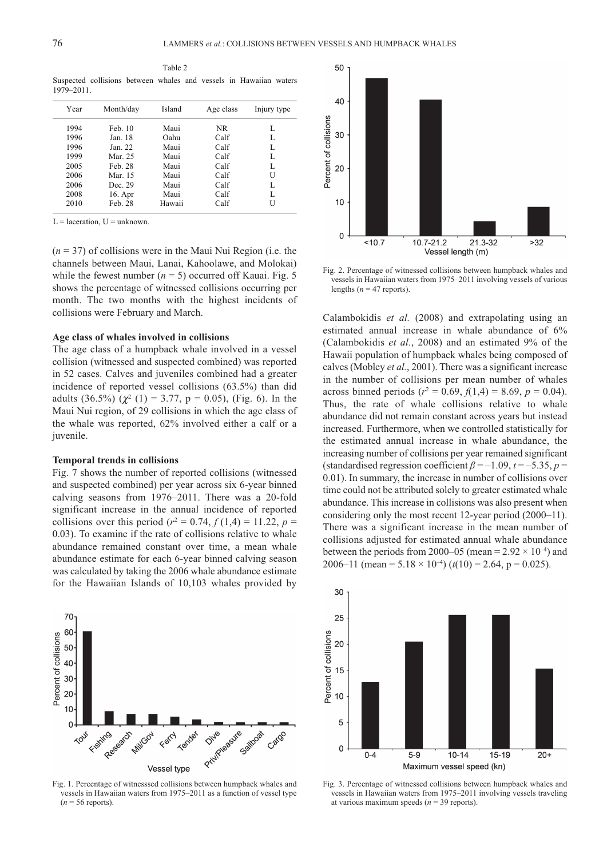Table 2 Suspected collisions between whales and vessels in Hawaiian waters 1979–2011.

| Year | Month/day | Island | Age class | Injury type |
|------|-----------|--------|-----------|-------------|
| 1994 | Feb. 10   | Maui   | NR        | L           |
| 1996 | Jan. 18   | Oahu   | Calf      | L           |
| 1996 | Jan. 22   | Maui   | Calf      | L           |
| 1999 | Mar. 25   | Maui   | Calf      | L           |
| 2005 | Feb. 28   | Maui   | Calf      | L           |
| 2006 | Mar 15    | Maui   | Calf      | U           |
| 2006 | Dec. 29   | Maui   | Calf      | L           |
| 2008 | 16. Apr   | Maui   | Calf      | L           |
| 2010 | Feb. 28   | Hawaii | Calf      | U           |

 $L =$  laceration,  $U =$  unknown.

(*n* = 37) of collisions were in the Maui Nui Region (i.e. the channels between Maui, Lanai, Kahoolawe, and Molokai) while the fewest number  $(n = 5)$  occurred off Kauai. Fig. 5 shows the percentage of witnessed collisions occurring per month. The two months with the highest incidents of collisions were February and March.

#### **Age class of whales involved in collisions**

The age class of a humpback whale involved in a vessel collision (witnessed and suspected combined) was reported in 52 cases. Calves and juveniles combined had a greater incidence of reported vessel collisions (63.5%) than did adults (36.5%) ( $\chi^2$  (1) = 3.77, p = 0.05), (Fig. 6). In the Maui Nui region, of 29 collisions in which the age class of the whale was reported, 62% involved either a calf or a juvenile.

#### **Temporal trends in collisions**

Fig. 7 shows the number of reported collisions (witnessed and suspected combined) per year across six 6-year binned calving seasons from 1976–2011. There was a 20-fold significant increase in the annual incidence of reported collisions over this period ( $r^2 = 0.74$ ,  $f(1,4) = 11.22$ ,  $p =$ 0.03). To examine if the rate of collisions relative to whale abundance remained constant over time, a mean whale abundance estimate for each 6-year binned calving season was calculated by taking the 2006 whale abundance estimate for the Hawaiian Islands of 10,103 whales provided by



Fig. 1. Percentage of witnesssed collisions between humpback whales and vessels in Hawaiian waters from 1975–2011 as a function of vessel type  $(n = 56$  reports).



Fig. 2. Percentage of witnessed collisions between humpback whales and vessels in Hawaiian waters from 1975–2011 involving vessels of various lengths ( $n = 47$  reports).

Calambokidis *et al.* (2008) and extrapolating using an estimated annual increase in whale abundance of 6% (Calambokidis *et al.*, 2008) and an estimated 9% of the Hawaii population of humpback whales being composed of calves (Mobley *et al.*, 2001). There was a significant increase in the number of collisions per mean number of whales across binned periods ( $r^2 = 0.69$ ,  $f(1,4) = 8.69$ ,  $p = 0.04$ ). Thus, the rate of whale collisions relative to whale abundance did not remain constant across years but instead increased. Furthermore, when we controlled statistically for the estimated annual increase in whale abundance, the increasing number of collisions per year remained significant (standardised regression coefficient  $\beta = -1.09$ ,  $t = -5.35$ ,  $p =$ 0.01). In summary, the increase in number of collisions over time could not be attributed solely to greater estimated whale abundance. This increase in collisions was also present when considering only the most recent 12-year period (2000–11). There was a significant increase in the mean number of collisions adjusted for estimated annual whale abundance between the periods from 2000–05 (mean =  $2.92 \times 10^{-4}$ ) and 2006–11 (mean = 5.18  $\times$  10<sup>-4</sup>) ( $t(10)$  = 2.64, p = 0.025).



Fig. 3. Percentage of witnessed collisions between humpback whales and vessels in Hawaiian waters from 1975–2011 involving vessels traveling at various maximum speeds  $(n = 39$  reports).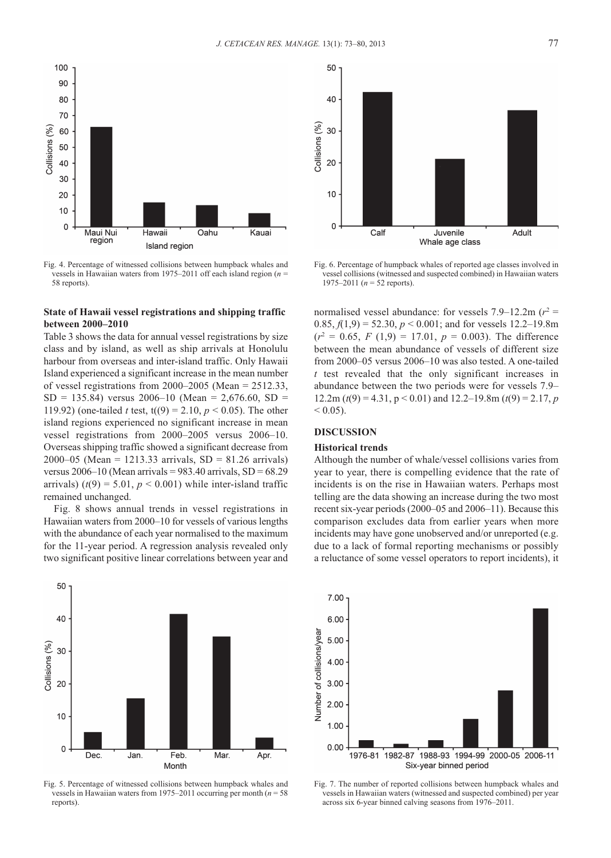

Fig. 4. Percentage of witnessed collisions between humpback whales and vessels in Hawaiian waters from 1975–2011 off each island region (*n* = 58 reports).

### **State of Hawaii vessel registrations and shipping traffic between 2000–2010**

Table 3 shows the data for annual vessel registrations by size class and by island, as well as ship arrivals at Honolulu harbour from overseas and inter-island traffic. Only Hawaii Island experienced a significant increase in the mean number of vessel registrations from 2000–2005 (Mean = 2512.33,  $SD = 135.84$ ) versus 2006–10 (Mean = [2,676.60](https://2,676.60), SD = 119.92) (one-tailed *t* test,  $t((9) = 2.10, p \le 0.05)$ . The other island regions experienced no significant increase in mean vessel registrations from 2000–2005 versus 2006–10. Overseas shipping traffic showed a significant decrease from 2000–05 (Mean = 1213.33 arrivals,  $SD = 81.26$  arrivals) versus  $2006-10$  (Mean arrivals = 983.40 arrivals, SD = 68.29 arrivals)  $(t(9) = 5.01, p < 0.001)$  while inter-island traffic remained unchanged.

Fig. 8 shows annual trends in vessel registrations in Hawaiian waters from 2000–10 for vessels of various lengths with the abundance of each year normalised to the maximum for the 11-year period. A regression analysis revealed only two significant positive linear correlations between year and



Fig. 5. Percentage of witnessed collisions between humpback whales and vessels in Hawaiian waters from 1975–2011 occurring per month (*n* = 58 reports).



Fig. 6. Percentage of humpback whales of reported age classes involved in vessel collisions (witnessed and suspected combined) in Hawaiian waters 1975–2011 (*n* = 52 reports).

normalised vessel abundance: for vessels  $7.9-12.2$ m ( $r^2$  = 0.85,  $f(1,9) = 52.30, p < 0.001$ ; and for vessels [12.2–19.8m](https://12.2�19.8m)  $(r^2 = 0.65, F(1,9) = 17.01, p = 0.003)$ . The difference between the mean abundance of vessels of different size from 2000–05 versus 2006–10 was also tested. A one-tailed *t* test revealed that the only significant increases in abundance between the two periods were for vessels 7.9– 12.2m ( $t(9) = 4.31$ ,  $p < 0.01$ ) and [12.2–19.8m](https://12.2�19.8m) ( $t(9) = 2.17$ , *p*  $< 0.05$ ).

# **DISCUSSION**

#### **Historical trends**

Although the number of whale/vessel collisions varies from year to year, there is compelling evidence that the rate of incidents is on the rise in Hawaiian waters. Perhaps most telling are the data showing an increase during the two most recent six-year periods (2000–05 and 2006–11). Because this comparison excludes data from earlier years when more incidents may have gone unobserved and/or unreported (e.g. due to a lack of formal reporting mechanisms or possibly a reluctance of some vessel operators to report incidents), it



Fig. 7. The number of reported collisions between humpback whales and vessels in Hawaiian waters (witnessed and suspected combined) per year across six 6-year binned calving seasons from 1976–2011.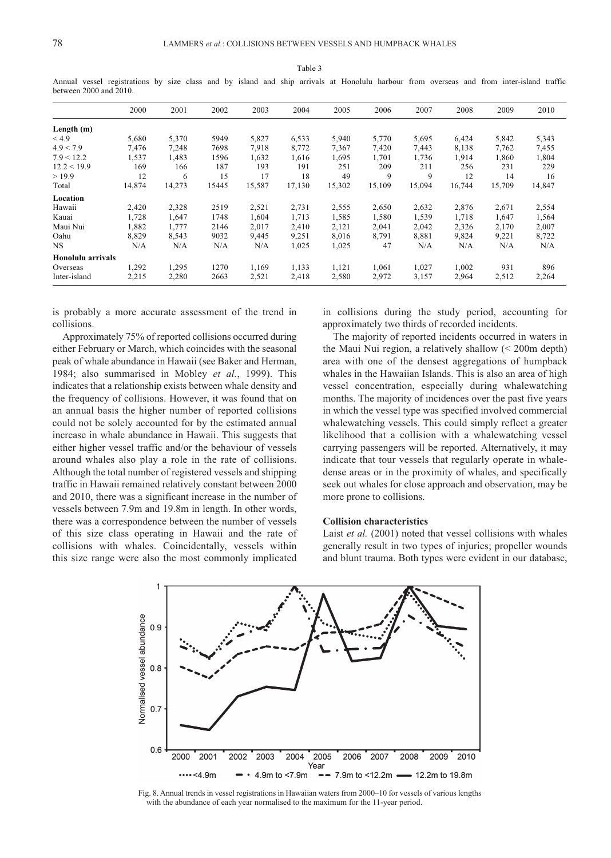|                   | 2000   | 2001   | 2002  | 2003   | 2004   | 2005   | 2006   | 2007   | 2008   | 2009   | 2010   |  |
|-------------------|--------|--------|-------|--------|--------|--------|--------|--------|--------|--------|--------|--|
| Length (m)        |        |        |       |        |        |        |        |        |        |        |        |  |
| < 4.9             | 5,680  | 5,370  | 5949  | 5,827  | 6,533  | 5,940  | 5,770  | 5,695  | 6,424  | 5,842  | 5,343  |  |
| 4.9 < 7.9         | 7,476  | 7,248  | 7698  | 7,918  | 8,772  | 7,367  | 7,420  | 7,443  | 8,138  | 7,762  | 7,455  |  |
| 7.9 < 12.2        | 1,537  | 1,483  | 1596  | 1,632  | 1,616  | 1,695  | 1,701  | 1,736  | 1,914  | 1,860  | 1,804  |  |
| 12.2 < 19.9       | 169    | 166    | 187   | 193    | 191    | 251    | 209    | 211    | 256    | 231    | 229    |  |
| >19.9             | 12     | 6      | 15    | 17     | 18     | 49     | 9      | 9      | 12     | 14     | 16     |  |
| Total             | 14,874 | 14,273 | 15445 | 15,587 | 17,130 | 15,302 | 15,109 | 15,094 | 16,744 | 15,709 | 14,847 |  |
| Location          |        |        |       |        |        |        |        |        |        |        |        |  |
| Hawaii            | 2,420  | 2,328  | 2519  | 2,521  | 2,731  | 2,555  | 2,650  | 2,632  | 2,876  | 2,671  | 2,554  |  |
| Kauai             | 1,728  | 1,647  | 1748  | 1,604  | 1,713  | 1,585  | 1,580  | 1,539  | 1,718  | 1,647  | 1,564  |  |
| Maui Nui          | 1,882  | 1,777  | 2146  | 2,017  | 2,410  | 2,121  | 2,041  | 2,042  | 2,326  | 2,170  | 2,007  |  |
| Oahu              | 8,829  | 8,543  | 9032  | 9,445  | 9,251  | 8,016  | 8,791  | 8,881  | 9,824  | 9,221  | 8,722  |  |
| NS                | N/A    | N/A    | N/A   | N/A    | 1,025  | 1,025  | 47     | N/A    | N/A    | N/A    | N/A    |  |
| Honolulu arrivals |        |        |       |        |        |        |        |        |        |        |        |  |
| Overseas          | 1,292  | 1,295  | 1270  | 1,169  | 1,133  | 1,121  | 1,061  | 1,027  | 1,002  | 931    | 896    |  |
| Inter-island      | 2,215  | 2,280  | 2663  | 2,521  | 2,418  | 2,580  | 2,972  | 3,157  | 2,964  | 2,512  | 2,264  |  |
|                   |        |        |       |        |        |        |        |        |        |        |        |  |

Table 3 Annual vessel registrations by size class and by island and ship arrivals at Honolulu harbour from overseas and from inter-island traffic between 2000 and 2010.

is probably a more accurate assessment of the trend in collisions.

Approximately 75% of reported collisions occurred during either February or March, which coincides with the seasonal peak of whale abundance in Hawaii (see Baker and Herman, 1984; also summarised in Mobley *et al.*, 1999). This indicates that a relationship exists between whale density and the frequency of collisions. However, it was found that on an annual basis the higher number of reported collisions could not be solely accounted for by the estimated annual increase in whale abundance in Hawaii. This suggests that either higher vessel traffic and/or the behaviour of vessels around whales also play a role in the rate of collisions. Although the total number of registered vessels and shipping traffic in Hawaii remained relatively constant between 2000 and 2010, there was a significant increase in the number of vessels between 7.9m and 19.8m in length. In other words, there was a correspondence between the number of vessels of this size class operating in Hawaii and the rate of collisions with whales. Coincidentally, vessels within this size range were also the most commonly implicated

in collisions during the study period, accounting for approximately two thirds of recorded incidents.

The majority of reported incidents occurred in waters in the Maui Nui region, a relatively shallow (< 200m depth) area with one of the densest aggregations of humpback whales in the Hawaiian Islands. This is also an area of high vessel concentration, especially during whalewatching months. The majority of incidences over the past five years in which the vessel type was specified involved commercial whalewatching vessels. This could simply reflect a greater likelihood that a collision with a whalewatching vessel carrying passengers will be reported. Alternatively, it may indicate that tour vessels that regularly operate in whaledense areas or in the proximity of whales, and specifically seek out whales for close approach and observation, may be more prone to collisions.

#### **Collision characteristics**

Laist *et al.* (2001) noted that vessel collisions with whales generally result in two types of injuries; propeller wounds and blunt trauma. Both types were evident in our database,



Fig. 8. Annual trends in vessel registrations in Hawaiian waters from 2000–10 for vessels of various lengths with the abundance of each year normalised to the maximum for the 11-year period.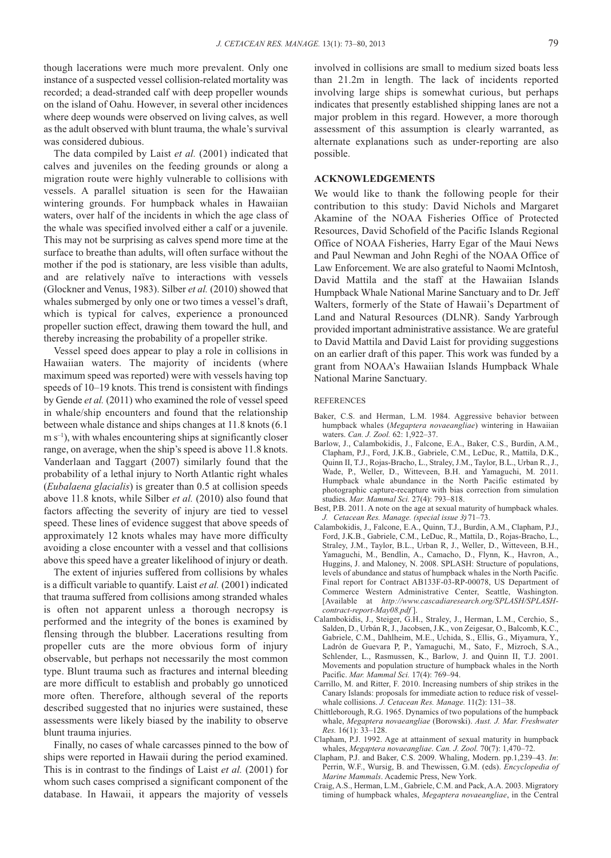though lacerations were much more prevalent. Only one instance of a suspected vessel collision-related mortality was recorded; a dead-stranded calf with deep propeller wounds on the island of Oahu. However, in several other incidences where deep wounds were observed on living calves, as well as the adult observed with blunt trauma, the whale's survival was considered dubious.

The data compiled by Laist *et al.* (2001) indicated that calves and juveniles on the feeding grounds or along a migration route were highly vulnerable to collisions with vessels. A parallel situation is seen for the Hawaiian wintering grounds. For humpback whales in Hawaiian waters, over half of the incidents in which the age class of the whale was specified involved either a calf or a juvenile. This may not be surprising as calves spend more time at the surface to breathe than adults, will often surface without the mother if the pod is stationary, are less visible than adults, and are relatively naïve to interactions with vessels (Glockner and Venus, 1983). Silber *et al.* (2010) showed that whales submerged by only one or two times a vessel's draft, which is typical for calves, experience a pronounced propeller suction effect, drawing them toward the hull, and thereby increasing the probability of a propeller strike.

Vessel speed does appear to play a role in collisions in Hawaiian waters. The majority of incidents (where maximum speed was reported) were with vessels having top speeds of 10–19 knots. This trend is consistent with findings by Gende *et al.* (2011) who examined the role of vessel speed in whale/ship encounters and found that the relationship between whale distance and ships changes at 11.8 knots (6.1  $m s^{-1}$ ), with whales encountering ships at significantly closer range, on average, when the ship's speed is above 11.8 knots. Vanderlaan and Taggart (2007) similarly found that the probability of a lethal injury to North Atlantic right whales (*Eubalaena glacialis*) is greater than 0.5 at collision speeds above 11.8 knots, while Silber *et al.* (2010) also found that factors affecting the severity of injury are tied to vessel speed. These lines of evidence suggest that above speeds of approximately 12 knots whales may have more difficulty avoiding a close encounter with a vessel and that collisions above this speed have a greater likelihood of injury or death.

The extent of injuries suffered from collisions by whales is a difficult variable to quantify. Laist *et al.* (2001) indicated that trauma suffered from collisions among stranded whales is often not apparent unless a thorough necropsy is performed and the integrity of the bones is examined by flensing through the blubber. Lacerations resulting from propeller cuts are the more obvious form of injury observable, but perhaps not necessarily the most common type. Blunt trauma such as fractures and internal bleeding are more difficult to establish and probably go unnoticed more often. Therefore, although several of the reports described suggested that no injuries were sustained, these assessments were likely biased by the inability to observe blunt trauma injuries.

Finally, no cases of whale carcasses pinned to the bow of ships were reported in Hawaii during the period examined. This is in contrast to the findings of Laist *et al.* (2001) for whom such cases comprised a significant component of the database. In Hawaii, it appears the majority of vessels

involved in collisions are small to medium sized boats less than 21.2m in length. The lack of incidents reported involving large ships is somewhat curious, but perhaps indicates that presently established shipping lanes are not a major problem in this regard. However, a more thorough assessment of this assumption is clearly warranted, as alternate explanations such as under-reporting are also possible.

# **ACKNOWLEDGEMENTS**

We would like to thank the following people for their contribution to this study: David Nichols and Margaret Akamine of the NOAA Fisheries Office of Protected Resources, David Schofield of the Pacific Islands Regional Office of NOAA Fisheries, Harry Egar of the Maui News and Paul Newman and John Reghi of the NOAA Office of Law Enforcement. We are also grateful to Naomi McIntosh, David Mattila and the staff at the Hawaiian Islands Humpback Whale National Marine Sanctuary and to Dr. Jeff Walters, formerly of the State of Hawaii's Department of Land and Natural Resources (DLNR). Sandy Yarbrough provided important administrative assistance. We are grateful to David Mattila and David Laist for providing suggestions on an earlier draft of this paper. This work was funded by a grant from NOAA's Hawaiian Islands Humpback Whale National Marine Sanctuary.

#### **REFERENCES**

- Baker, C.S. and Herman, L.M. 1984. Aggressive behavior between humpback whales (*Megaptera novaeangliae*) wintering in Hawaiian waters. *Can. J. Zool.* 62: 1,922–37.
- Barlow, J., Calambokidis, J., Falcone, E.A., Baker, C.S., Burdin, A.M., Clapham, P.J., Ford, J.K.B., Gabriele, C.M., LeDuc, R., Mattila, D.K., Quinn II, T.J., Rojas-Bracho, L., Straley, J.M., Taylor, B.L., Urban R., J., Wade, P., Weller, D., Witteveen, B.H. and Yamaguchi, M. 2011. Humpback whale abundance in the North Pacific estimated by photographic capture-recapture with bias correction from simulation studies. *Mar. Mammal Sci.* 27(4): 793–818.
- Best, P.B. 2011. A note on the age at sexual maturity of humpback whales. *J. Cetacean Res. Manage. (special issue 3)*: 71–73.
- Calambokidis, J., Falcone, E.A., Quinn, T.J., Burdin, A.M., Clapham, P.J., Ford, J.K.B., Gabriele, C.M., LeDuc, R., Mattila, D., Rojas-Bracho, L., Straley, J.M., Taylor, B.L., Urban R, J., Weller, D., Witteveen, B.H., Yamaguchi, M., Bendlin, A., Camacho, D., Flynn, K., Havron, A., Huggins, J. and Maloney, N. 2008. SPLASH: Structure of populations, levels of abundance and status of humpback whales in the North Pacific. Final report for Contract AB133F-03-RP-00078, US Department of Commerce Western Administrative Center, Seattle, Washington. [Available at *<http://www.cascadiaresearch.org/SPLASH/SPLASH>contract-report-May08.pdf* ].
- Calambokidis, J., Steiger, G.H., Straley, J., Herman, L.M., Cerchio, S., Salden, D., Urbán R, J., Jacobsen, J.K., von Zeigesar, O., Balcomb, K.C., Gabriele, C.M., Dahlheim, M.E., Uchida, S., Ellis, G., Miyamura, Y., Ladrón de Guevara P, P., Yamaguchi, M., Sato, F., Mizroch, S.A., Schlender, L., Rasmussen, K., Barlow, J. and Quinn II, T.J. 2001. Movements and population structure of humpback whales in the North Pacific. *Mar. Mammal Sci.* 17(4): 769–94.
- Carrillo, M. and Ritter, F. 2010. Increasing numbers of ship strikes in the Canary Islands: proposals for immediate action to reduce risk of vesselwhale collisions. *J. Cetacean Res. Manage.* 11(2): 131–38.
- Chittleborough, R.G. 1965. Dynamics of two populations of the humpback whale, *Megaptera novaeangliae* (Borowski). *Aust. J. Mar. Freshwater Res.* 16(1): 33–128.
- Clapham, P.J. 1992. Age at attainment of sexual maturity in humpback whales, *Megaptera novaeangliae*. *Can. J. Zool.* 70(7): 1,470–72.
- Clapham, P.J. and Baker, C.S. 2009. Whaling, Modern. pp.1,239–43. *In*: Perrin, W.F., Wursig, B. and Thewissen, G.M. (eds). *Encyclopedia of Marine Mammals*. Academic Press, New York.
- Craig, A.S., Herman, L.M., Gabriele, C.M. and Pack, A.A. 2003. Migratory timing of humpback whales, *Megaptera novaeangliae*, in the Central